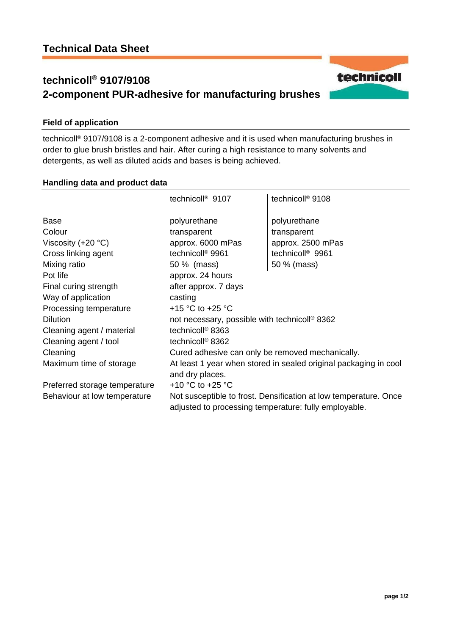# **technicoll® 9107/9108 2-component PUR-adhesive for manufacturing brushes**

## **Field of application**

technicoll® 9107/9108 is a 2-component adhesive and it is used when manufacturing brushes in order to glue brush bristles and hair. After curing a high resistance to many solvents and detergents, as well as diluted acids and bases is being achieved.

### **Handling data and product data**

|                               | technicoll <sup>®</sup> 9107                                                                                              | technicoll <sup>®</sup> 9108 |
|-------------------------------|---------------------------------------------------------------------------------------------------------------------------|------------------------------|
| Base                          | polyurethane                                                                                                              | polyurethane                 |
| Colour                        | transparent                                                                                                               | transparent                  |
| Viscosity $(+20 °C)$          | approx. 6000 mPas                                                                                                         | approx. 2500 mPas            |
| Cross linking agent           | technicoll <sup>®</sup> 9961                                                                                              | technicoll <sup>®</sup> 9961 |
| Mixing ratio                  | 50 % (mass)                                                                                                               | 50 % (mass)                  |
| Pot life                      | approx. 24 hours                                                                                                          |                              |
| Final curing strength         | after approx. 7 days                                                                                                      |                              |
| Way of application            | casting                                                                                                                   |                              |
| Processing temperature        | +15 °C to +25 °C                                                                                                          |                              |
| <b>Dilution</b>               | not necessary, possible with technicoll <sup>®</sup> 8362                                                                 |                              |
| Cleaning agent / material     | technicoll <sup>®</sup> 8363                                                                                              |                              |
| Cleaning agent / tool         | technicoll <sup>®</sup> 8362                                                                                              |                              |
| Cleaning                      | Cured adhesive can only be removed mechanically.                                                                          |                              |
| Maximum time of storage       | At least 1 year when stored in sealed original packaging in cool<br>and dry places.                                       |                              |
|                               |                                                                                                                           |                              |
| Preferred storage temperature | +10 $^{\circ}$ C to +25 $^{\circ}$ C                                                                                      |                              |
| Behaviour at low temperature  | Not susceptible to frost. Densification at low temperature. Once<br>adjusted to processing temperature: fully employable. |                              |

**page 1/2** 

technicoll